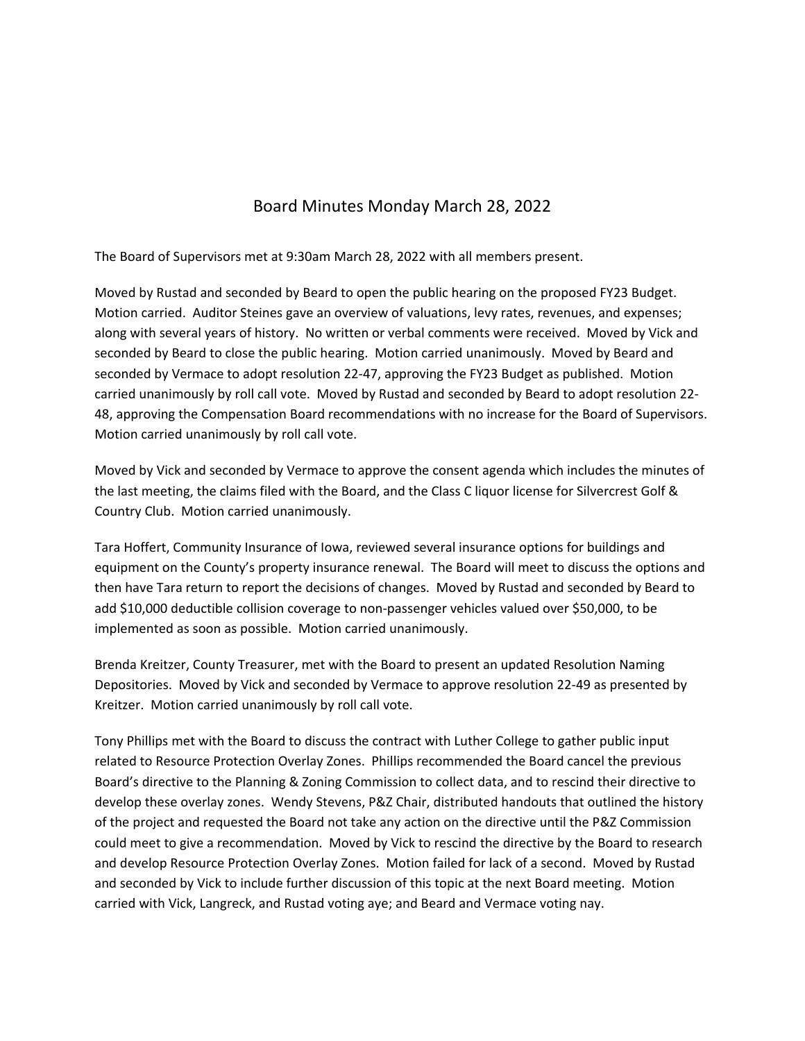## Board Minutes Monday March 28, 2022

The Board of Supervisors met at 9:30am March 28, 2022 with all members present.

Moved by Rustad and seconded by Beard to open the public hearing on the proposed FY23 Budget. Motion carried. Auditor Steines gave an overview of valuations, levy rates, revenues, and expenses; along with several years of history. No written or verbal comments were received. Moved by Vick and seconded by Beard to close the public hearing. Motion carried unanimously. Moved by Beard and seconded by Vermace to adopt resolution 22‐47, approving the FY23 Budget as published. Motion carried unanimously by roll call vote. Moved by Rustad and seconded by Beard to adopt resolution 22‐ 48, approving the Compensation Board recommendations with no increase for the Board of Supervisors. Motion carried unanimously by roll call vote.

Moved by Vick and seconded by Vermace to approve the consent agenda which includes the minutes of the last meeting, the claims filed with the Board, and the Class C liquor license for Silvercrest Golf & Country Club. Motion carried unanimously.

Tara Hoffert, Community Insurance of Iowa, reviewed several insurance options for buildings and equipment on the County's property insurance renewal. The Board will meet to discuss the options and then have Tara return to report the decisions of changes. Moved by Rustad and seconded by Beard to add \$10,000 deductible collision coverage to non‐passenger vehicles valued over \$50,000, to be implemented as soon as possible. Motion carried unanimously.

Brenda Kreitzer, County Treasurer, met with the Board to present an updated Resolution Naming Depositories. Moved by Vick and seconded by Vermace to approve resolution 22‐49 as presented by Kreitzer. Motion carried unanimously by roll call vote.

Tony Phillips met with the Board to discuss the contract with Luther College to gather public input related to Resource Protection Overlay Zones. Phillips recommended the Board cancel the previous Board's directive to the Planning & Zoning Commission to collect data, and to rescind their directive to develop these overlay zones. Wendy Stevens, P&Z Chair, distributed handouts that outlined the history of the project and requested the Board not take any action on the directive until the P&Z Commission could meet to give a recommendation. Moved by Vick to rescind the directive by the Board to research and develop Resource Protection Overlay Zones. Motion failed for lack of a second. Moved by Rustad and seconded by Vick to include further discussion of this topic at the next Board meeting. Motion carried with Vick, Langreck, and Rustad voting aye; and Beard and Vermace voting nay.